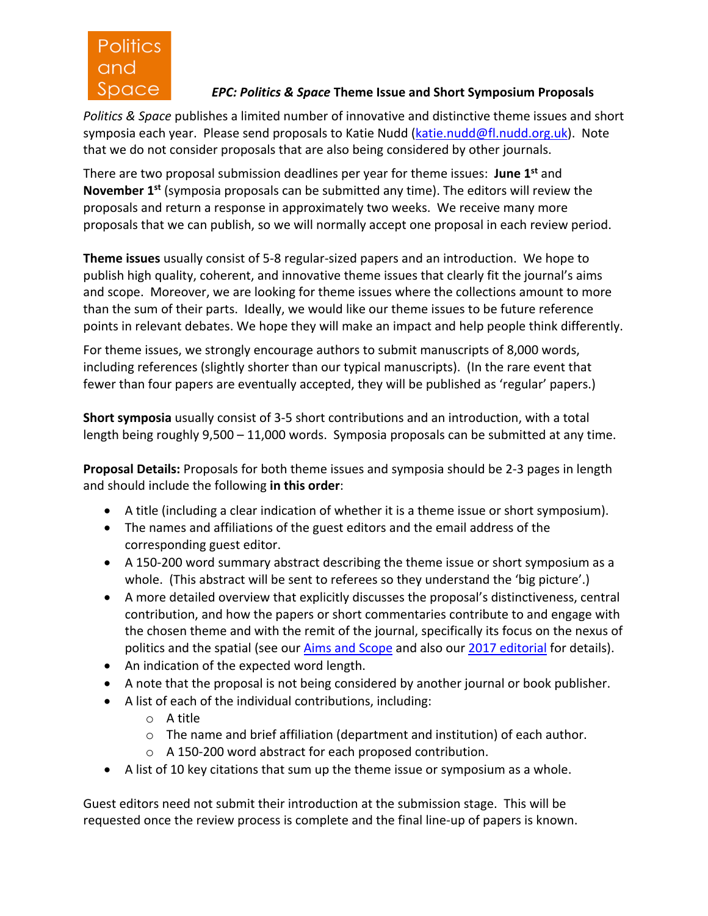

## *EPC: Politics & Space* **Theme Issue and Short Symposium Proposals**

*Politics & Space* publishes a limited number of innovative and distinctive theme issues and short symposia each year. Please send proposals to Katie Nudd (katie.nudd@fl.nudd.org.uk). Note that we do not consider proposals that are also being considered by other journals.

There are two proposal submission deadlines per year for theme issues: **June 1st** and **November 1st** (symposia proposals can be submitted any time). The editors will review the proposals and return a response in approximately two weeks. We receive many more proposals that we can publish, so we will normally accept one proposal in each review period.

**Theme issues** usually consist of 5-8 regular-sized papers and an introduction. We hope to publish high quality, coherent, and innovative theme issues that clearly fit the journal's aims and scope. Moreover, we are looking for theme issues where the collections amount to more than the sum of their parts. Ideally, we would like our theme issues to be future reference points in relevant debates. We hope they will make an impact and help people think differently.

For theme issues, we strongly encourage authors to submit manuscripts of 8,000 words, including references (slightly shorter than our typical manuscripts). (In the rare event that fewer than four papers are eventually accepted, they will be published as 'regular' papers.)

**Short symposia** usually consist of 3-5 short contributions and an introduction, with a total length being roughly 9,500 – 11,000 words. Symposia proposals can be submitted at any time.

**Proposal Details:** Proposals for both theme issues and symposia should be 2-3 pages in length and should include the following **in this order**:

- A title (including a clear indication of whether it is a theme issue or short symposium).
- The names and affiliations of the guest editors and the email address of the corresponding guest editor.
- A 150-200 word summary abstract describing the theme issue or short symposium as a whole. (This abstract will be sent to referees so they understand the 'big picture'.)
- A more detailed overview that explicitly discusses the proposal's distinctiveness, central contribution, and how the papers or short commentaries contribute to and engage with the chosen theme and with the remit of the journal, specifically its focus on the nexus of politics and the spatial (see our *Aims and Scope* and also our 2017 editorial for details).
- An indication of the expected word length.
- A note that the proposal is not being considered by another journal or book publisher.
- A list of each of the individual contributions, including:
	- o A title
	- $\circ$  The name and brief affiliation (department and institution) of each author.
	- o A 150-200 word abstract for each proposed contribution.
- A list of 10 key citations that sum up the theme issue or symposium as a whole.

Guest editors need not submit their introduction at the submission stage. This will be requested once the review process is complete and the final line-up of papers is known.